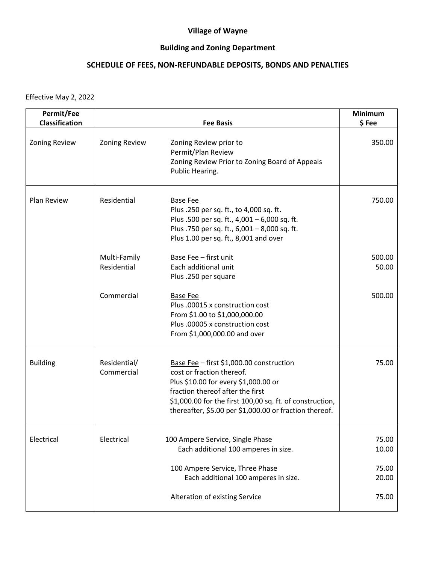## **Village of Wayne**

## **Building and Zoning Department**

## **SCHEDULE OF FEES, NON-REFUNDABLE DEPOSITS, BONDS AND PENALTIES**

Effective May 2, 2022

| Permit/Fee<br>Classification |                             | <b>Fee Basis</b>                                                                                                                                                                                                                                                        | <b>Minimum</b><br>\$Fee |
|------------------------------|-----------------------------|-------------------------------------------------------------------------------------------------------------------------------------------------------------------------------------------------------------------------------------------------------------------------|-------------------------|
| <b>Zoning Review</b>         | <b>Zoning Review</b>        | Zoning Review prior to<br>Permit/Plan Review<br>Zoning Review Prior to Zoning Board of Appeals<br>Public Hearing.                                                                                                                                                       | 350.00                  |
| Plan Review                  | Residential                 | <b>Base Fee</b><br>Plus .250 per sq. ft., to 4,000 sq. ft.<br>Plus .500 per sq. ft., 4,001 - 6,000 sq. ft.<br>Plus .750 per sq. ft., 6,001 - 8,000 sq. ft.<br>Plus 1.00 per sq. ft., 8,001 and over                                                                     | 750.00                  |
|                              | Multi-Family<br>Residential | Base Fee - first unit<br>Each additional unit<br>Plus .250 per square                                                                                                                                                                                                   | 500.00<br>50.00         |
|                              | Commercial                  | <b>Base Fee</b><br>Plus .00015 x construction cost<br>From \$1.00 to \$1,000,000.00<br>Plus .00005 x construction cost<br>From \$1,000,000.00 and over                                                                                                                  | 500.00                  |
| <b>Building</b>              | Residential/<br>Commercial  | Base Fee - first \$1,000.00 construction<br>cost or fraction thereof.<br>Plus \$10.00 for every \$1,000.00 or<br>fraction thereof after the first<br>\$1,000.00 for the first 100,00 sq. ft. of construction,<br>thereafter, \$5.00 per \$1,000.00 or fraction thereof. | 75.00                   |
| Electrical                   | Electrical                  | 100 Ampere Service, Single Phase<br>Each additional 100 amperes in size.                                                                                                                                                                                                | 75.00<br>10.00          |
|                              |                             | 100 Ampere Service, Three Phase<br>Each additional 100 amperes in size.                                                                                                                                                                                                 | 75.00<br>20.00          |
|                              |                             | Alteration of existing Service                                                                                                                                                                                                                                          | 75.00                   |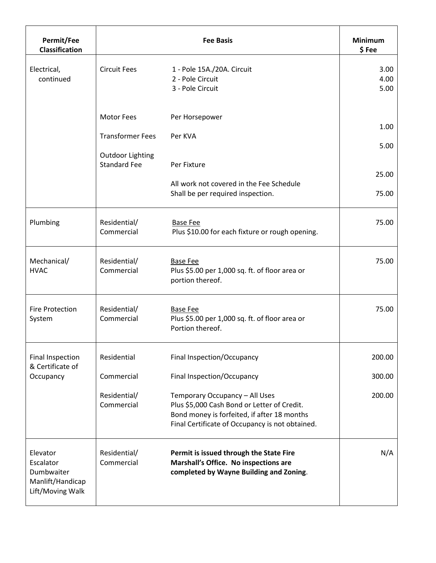| Permit/Fee<br>Classification                                                | <b>Fee Basis</b>                               |                                                                                                                                                                                 | <b>Minimum</b><br>\$Fee |
|-----------------------------------------------------------------------------|------------------------------------------------|---------------------------------------------------------------------------------------------------------------------------------------------------------------------------------|-------------------------|
| Electrical,<br>continued                                                    | <b>Circuit Fees</b>                            | 1 - Pole 15A./20A. Circuit<br>2 - Pole Circuit<br>3 - Pole Circuit                                                                                                              | 3.00<br>4.00<br>5.00    |
|                                                                             | <b>Motor Fees</b><br><b>Transformer Fees</b>   | Per Horsepower<br>Per KVA                                                                                                                                                       | 1.00<br>5.00            |
|                                                                             | <b>Outdoor Lighting</b><br><b>Standard Fee</b> | Per Fixture<br>All work not covered in the Fee Schedule<br>Shall be per required inspection.                                                                                    | 25.00<br>75.00          |
| Plumbing                                                                    | Residential/<br>Commercial                     | <b>Base Fee</b><br>Plus \$10.00 for each fixture or rough opening.                                                                                                              | 75.00                   |
| Mechanical/<br><b>HVAC</b>                                                  | Residential/<br>Commercial                     | <b>Base Fee</b><br>Plus \$5.00 per 1,000 sq. ft. of floor area or<br>portion thereof.                                                                                           | 75.00                   |
| <b>Fire Protection</b><br>System                                            | Residential/<br>Commercial                     | <b>Base Fee</b><br>Plus \$5.00 per 1,000 sq. ft. of floor area or<br>Portion thereof.                                                                                           | 75.00                   |
| <b>Final Inspection</b><br>& Certificate of                                 | Residential                                    | Final Inspection/Occupancy                                                                                                                                                      | 200.00                  |
| Occupancy                                                                   | Commercial                                     | Final Inspection/Occupancy                                                                                                                                                      | 300.00                  |
|                                                                             | Residential/<br>Commercial                     | Temporary Occupancy - All Uses<br>Plus \$5,000 Cash Bond or Letter of Credit.<br>Bond money is forfeited, if after 18 months<br>Final Certificate of Occupancy is not obtained. | 200.00                  |
| Elevator<br>Escalator<br>Dumbwaiter<br>Manlift/Handicap<br>Lift/Moving Walk | Residential/<br>Commercial                     | Permit is issued through the State Fire<br>Marshall's Office. No inspections are<br>completed by Wayne Building and Zoning.                                                     | N/A                     |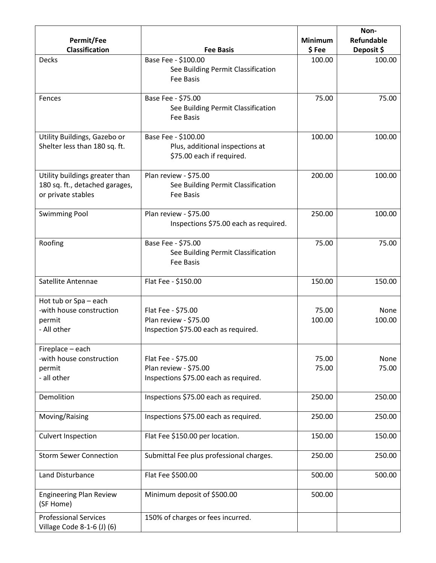|                                                                                        |                                                                                      |                         | Non-                            |
|----------------------------------------------------------------------------------------|--------------------------------------------------------------------------------------|-------------------------|---------------------------------|
| Permit/Fee<br><b>Classification</b>                                                    | <b>Fee Basis</b>                                                                     | <b>Minimum</b><br>\$Fee | <b>Refundable</b><br>Deposit \$ |
| Decks                                                                                  | Base Fee - \$100.00<br>See Building Permit Classification<br><b>Fee Basis</b>        | 100.00                  | 100.00                          |
| Fences                                                                                 | Base Fee - \$75.00<br>See Building Permit Classification<br>Fee Basis                | 75.00                   | 75.00                           |
| Utility Buildings, Gazebo or<br>Shelter less than 180 sq. ft.                          | Base Fee - \$100.00<br>Plus, additional inspections at<br>\$75.00 each if required.  | 100.00                  | 100.00                          |
| Utility buildings greater than<br>180 sq. ft., detached garages,<br>or private stables | Plan review - \$75.00<br>See Building Permit Classification<br>Fee Basis             | 200.00                  | 100.00                          |
| <b>Swimming Pool</b>                                                                   | Plan review - \$75.00<br>Inspections \$75.00 each as required.                       | 250.00                  | 100.00                          |
| Roofing                                                                                | Base Fee - \$75.00<br>See Building Permit Classification<br>Fee Basis                | 75.00                   | 75.00                           |
| Satellite Antennae                                                                     | Flat Fee - \$150.00                                                                  | 150.00                  | 150.00                          |
| Hot tub or Spa - each<br>-with house construction<br>permit<br>- All other             | Flat Fee - \$75.00<br>Plan review - \$75.00<br>Inspection \$75.00 each as required.  | 75.00<br>100.00         | None<br>100.00                  |
| Fireplace - each<br>-with house construction<br>permit<br>- all other                  | Flat Fee - \$75.00<br>Plan review - \$75.00<br>Inspections \$75.00 each as required. | 75.00<br>75.00          | None<br>75.00                   |
| Demolition                                                                             | Inspections \$75.00 each as required.                                                | 250.00                  | 250.00                          |
| Moving/Raising                                                                         | Inspections \$75.00 each as required.                                                | 250.00                  | 250.00                          |
| <b>Culvert Inspection</b>                                                              | Flat Fee \$150.00 per location.                                                      | 150.00                  | 150.00                          |
| <b>Storm Sewer Connection</b>                                                          | Submittal Fee plus professional charges.                                             | 250.00                  | 250.00                          |
| Land Disturbance                                                                       | Flat Fee \$500.00                                                                    | 500.00                  | 500.00                          |
| <b>Engineering Plan Review</b><br>(SF Home)                                            | Minimum deposit of \$500.00                                                          | 500.00                  |                                 |
| <b>Professional Services</b><br>Village Code 8-1-6 (J) (6)                             | 150% of charges or fees incurred.                                                    |                         |                                 |